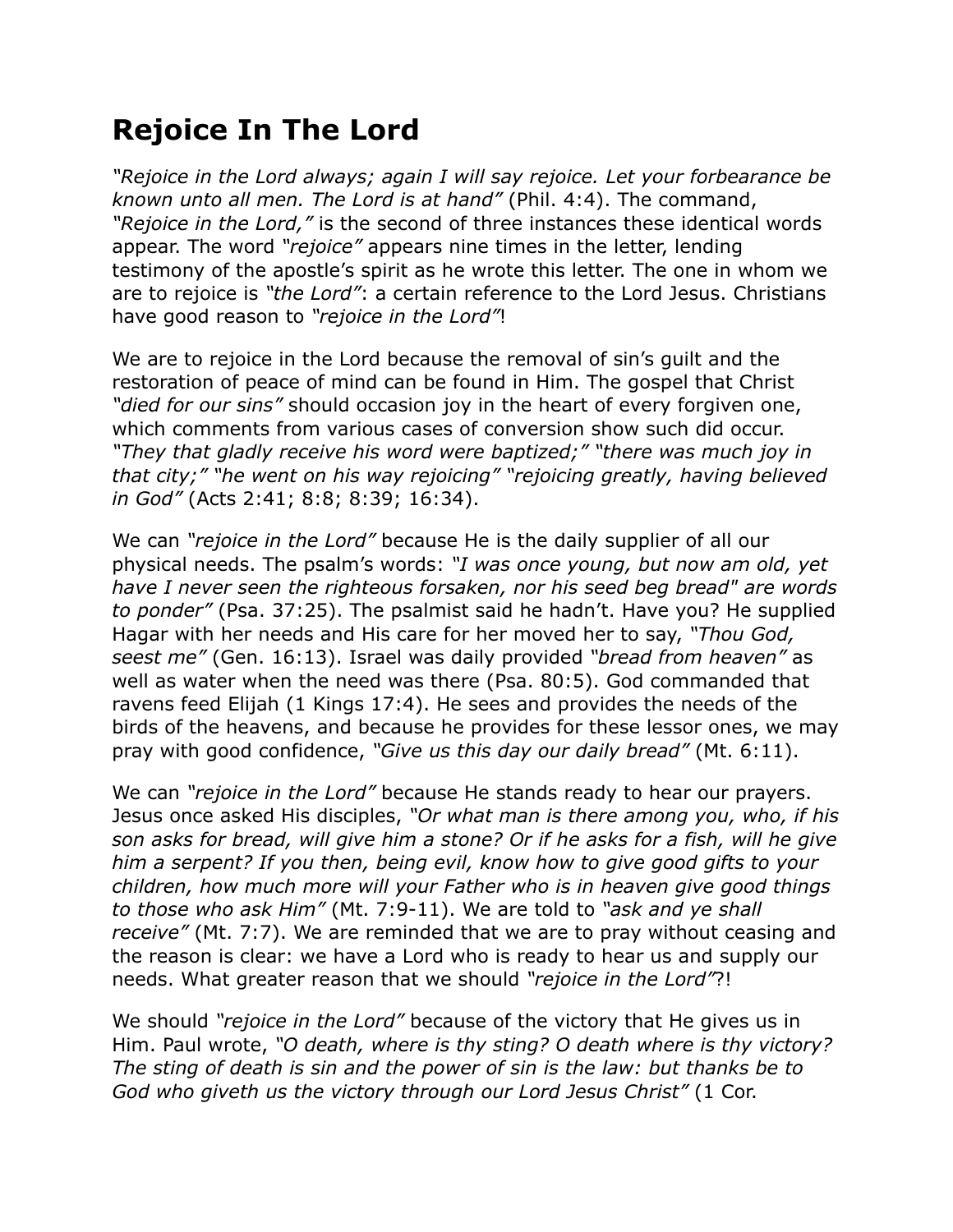## **Rejoice In The Lord**

*"Rejoice in the Lord always; again I will say rejoice. Let your forbearance be known unto all men. The Lord is at hand"* (Phil. 4:4). The command, *"Rejoice in the Lord,"* is the second of three instances these identical words appear. The word *"rejoice"* appears nine times in the letter, lending testimony of the apostle's spirit as he wrote this letter. The one in whom we are to rejoice is *"the Lord"*: a certain reference to the Lord Jesus. Christians have good reason to *"rejoice in the Lord"*!

We are to rejoice in the Lord because the removal of sin's guilt and the restoration of peace of mind can be found in Him. The gospel that Christ *"died for our sins"* should occasion joy in the heart of every forgiven one, which comments from various cases of conversion show such did occur. *"They that gladly receive his word were baptized;" "there was much joy in that city;" "he went on his way rejoicing" "rejoicing greatly, having believed in God"* (Acts 2:41; 8:8; 8:39; 16:34).

We can *"rejoice in the Lord"* because He is the daily supplier of all our physical needs. The psalm's words: *"I was once young, but now am old, yet have I never seen the righteous forsaken, nor his seed beg bread" are words to ponder"* (Psa. 37:25). The psalmist said he hadn't. Have you? He supplied Hagar with her needs and His care for her moved her to say, *"Thou God, seest me"* (Gen. 16:13). Israel was daily provided *"bread from heaven"* as well as water when the need was there (Psa. 80:5). God commanded that ravens feed Elijah (1 Kings 17:4). He sees and provides the needs of the birds of the heavens, and because he provides for these lessor ones, we may pray with good confidence, *"Give us this day our daily bread"* (Mt. 6:11).

We can *"rejoice in the Lord"* because He stands ready to hear our prayers. Jesus once asked His disciples, *"Or what man is there among you, who, if his son asks for bread, will give him a stone? Or if he asks for a fish, will he give him a serpent? If you then, being evil, know how to give good gifts to your children, how much more will your Father who is in heaven give good things to those who ask Him"* (Mt. 7:9-11). We are told to *"ask and ye shall receive"* (Mt. 7:7). We are reminded that we are to pray without ceasing and the reason is clear: we have a Lord who is ready to hear us and supply our needs. What greater reason that we should *"rejoice in the Lord"*?!

We should *"rejoice in the Lord"* because of the victory that He gives us in Him. Paul wrote, *"O death, where is thy sting? O death where is thy victory? The sting of death is sin and the power of sin is the law: but thanks be to God who giveth us the victory through our Lord Jesus Christ"* (1 Cor.